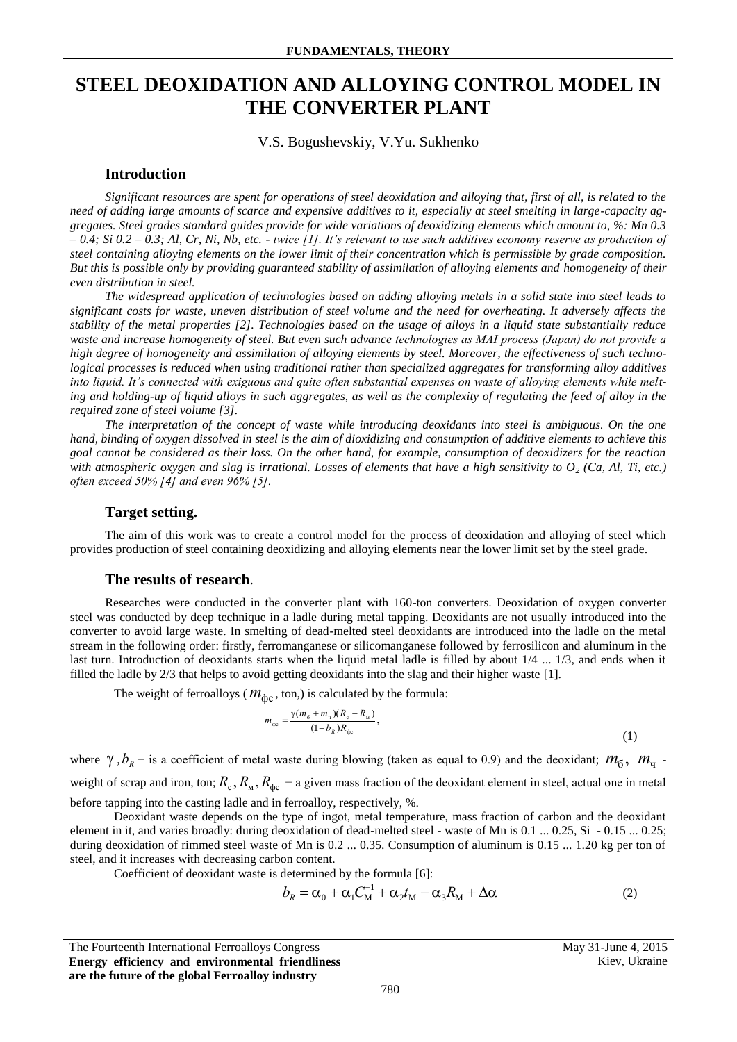# **STEEL DEOXIDATION AND ALLOYING CONTROL MODEL IN THE CONVERTER PLANT**

## V.S. Bogushevskiy, V.Yu. Sukhenko

### **Introduction**

*Significant resources are spent for operations of steel deoxidation and alloying that, first of all, is related to the need of adding large amounts of scarce and expensive additives to it, especially at steel smelting in large-capacity aggregates. Steel grades standard guides provide for wide variations of deoxidizing elements which amount to, %: Mn 0.3 – 0.4; Si 0.2 – 0.3; Al, Cr, Ni, Nb, etc. - twice [1]. It's relevant to use such additives economy reserve as production of steel containing alloying elements on the lower limit of their concentration which is permissible by grade composition. But this is possible only by providing guaranteed stability of assimilation of alloying elements and homogeneity of their even distribution in steel.*

*The widespread application of technologies based on adding alloying metals in a solid state into steel leads to significant costs for waste, uneven distribution of steel volume and the need for overheating. It adversely affects the stability of the metal properties [2]. Technologies based on the usage of alloys in a liquid state substantially reduce waste and increase homogeneity of steel. But even such advance technologies as MAІ process (Japan) do not provide a high degree of homogeneity and assimilation of alloying elements by steel. Moreover, the effectiveness of such technological processes is reduced when using traditional rather than specialized aggregates for transforming alloy additives into liquid. It's connected with exiguous and quite often substantial expenses on waste of alloying elements while melting and holding-up of liquid alloys in such aggregates, as well as the complexity of regulating the feed of alloy in the required zone of steel volume [3].*

*The interpretation of the concept of waste while introducing deoxidants into steel is ambiguous. On the one hand, binding of oxygen dissolved in steel is the aim of dioxidizing and consumption of additive elements to achieve this goal cannot be considered as their loss. On the other hand, for example, consumption of deoxidizers for the reaction*  with atmospheric oxygen and slag is irrational. Losses of elements that have a high sensitivity to  $O_2$  (Ca, Al, Ti, etc.) *оften exceed 50% [4] and even 96% [5].*

## **Target setting.**

The aim of this work was to create a control model for the process of deoxidation and alloying of steel which provides production of steel containing deoxidizing and alloying elements near the lower limit set by the steel grade.

#### **The results of research**.

Researches were conducted in the converter plant with 160-ton converters. Deoxidation of oxygen converter steel was conducted by deep technique in a ladle during metal tapping. Deoxidants are not usually introduced into the converter to avoid large waste. In smelting of dead-melted steel deoxidants are introduced into the ladle on the metal stream in the following order: firstly, ferromanganese or silicomanganese followed by ferrosilicon and aluminum in the last turn. Introduction of deoxidants starts when the liquid metal ladle is filled by about 1/4 ... 1/3, and ends when it filled the ladle by 2/3 that helps to avoid getting deoxidants into the slag and their higher waste [1].

The weight of ferroalloys ( $m_{\text{abc}}$ , ton,) is calculated by the formula:

$$
m_{\phi c} = \frac{\gamma (m_6 + m_4)(R_c - R_{\rm M})}{(1 - b_R)R_{\phi c}},
$$
\n(1)

where  $\gamma$ ,  $b_R$  – is a coefficient of metal waste during blowing (taken as equal to 0.9) and the deoxidant;  $m_0$ ,  $m_q$ . weight of scrap and iron, ton;  $R_c$ ,  $R_w$ ,  $R_{\phi c}$  – a given mass fraction of the deoxidant element in steel, actual one in metal before tapping into the casting ladle and in ferroalloy, respectively, %.

Deoxidant waste depends on the type of ingot, metal temperature, mass fraction of carbon and the deoxidant element in it, and varies broadly: during deoxidation of dead-melted steel - waste of Mn is 0.1 ... 0.25, Si - 0.15 ... 0.25; during deoxidation of rimmed steel waste of Mn is 0.2 ... 0.35. Consumption of aluminum is 0.15 ... 1.20 kg per ton of steel, and it increases with decreasing carbon content.

Coefficient of deoxidant waste is determined by the formula [6]:

$$
b_R = \alpha_0 + \alpha_1 C_M^{-1} + \alpha_2 t_M - \alpha_3 R_M + \Delta \alpha \tag{2}
$$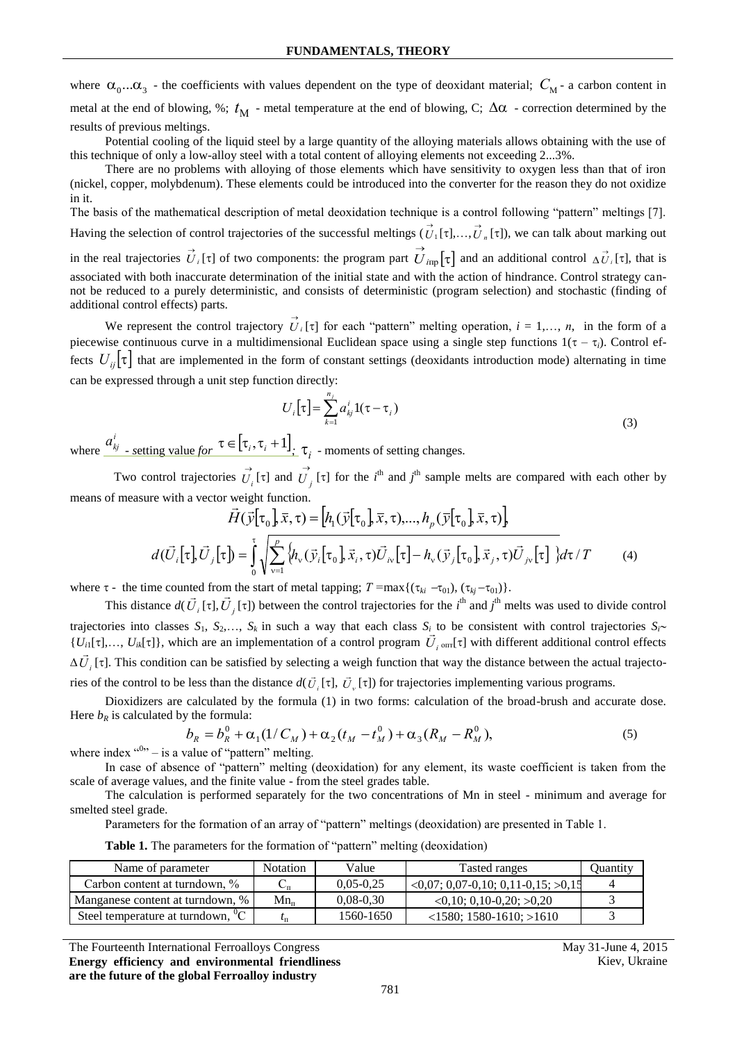where  $\alpha_0...\alpha_3$  - the coefficients with values dependent on the type of deoxidant material;  $C_M$ - a carbon content in metal at the end of blowing, %;  $t_M$  - metal temperature at the end of blowing, C;  $\Delta\alpha$  - correction determined by the results of previous meltings.

Potential cooling of the liquid steel by a large quantity of the alloying materials allows obtaining with the use of this technique of only a low-alloy steel with a total content of alloying elements not exceeding 2...3%.

There are no problems with alloying of those elements which have sensitivity to oxygen less than that of iron (nickel, copper, molybdenum). These elements could be introduced into the converter for the reason they do not oxidize in it.

The basis of the mathematical description of metal deoxidation technique is a control following "pattern" meltings [7]. Having the selection of control trajectories of the successful meltings  $(U_1)$  $\vec{U}_1[\tau],\ldots,\vec{U}_n[\tau]$ , we can talk about marking out in the real trajectories  $\vec{U}_i[\tau]$  of two components: the program part  $\vec{U}_{i\text{mp}}[\tau]$  and an additional control  $\Delta \vec{U}_i[\tau]$ , that is associated with both inaccurate determination of the initial state and with the action of hindrance. Control strategy cannot be reduced to a purely deterministic, and consists of deterministic (program selection) and stochastic (finding of additional control effects) parts.

We represent the control trajectory  $\overrightarrow{U}_i[\tau]$  for each "pattern" melting operation,  $i = 1,..., n$ , in the form of a piecewise continuous curve in a multidimensional Euclidean space using a single step functions  $1(\tau - \tau_i)$ . Control effects  $U_{ij}[\tau]$  that are implemented in the form of constant settings (deoxidants introduction mode) alternating in time can be expressed through a unit step function directly:

$$
U_{i}[\tau] = \sum_{k=1}^{n_{j}} a_{kj}^{i} 1(\tau - \tau_{i})
$$
\n(3)

where  $a_{kj}^i$  *a s setting value for*  $\tau \in [\tau_i, \tau_i + 1]$  *i f*<sub>*i*</sub> *-* moments of setting changes.

Two control trajectories  $\vec{U}_i$  [ $\tau$ ] and  $\vec{U}_j$  [ $\tau$ ] for the *i*<sup>th</sup> and *j*<sup>th</sup> sample melts are compared with each other by means of measure with a vector weight function.

$$
\vec{H}(\vec{y}[\tau_0], \vec{x}, \tau) = [h_1(\vec{y}[\tau_0], \vec{x}, \tau), ..., h_p(\vec{y}[\tau_0], \vec{x}, \tau)]
$$

$$
d(\vec{U}_i[\tau], \vec{U}_j[\tau]) = \int_0^{\tau} \sqrt{\sum_{\nu=1}^p \{h_\nu(\vec{y}_i[\tau_0], \vec{x}_i, \tau)\vec{U}_j(\tau_0] - h_\nu(\vec{y}_j[\tau_0], \vec{x}_j, \tau)\vec{U}_j(\tau_0)} d\tau / T
$$
(4)

where  $\tau$  - the time counted from the start of metal tapping;  $T = \max\{(\tau_{ki} - \tau_{01}), (\tau_{kj} - \tau_{01})\}\$ 

This distance  $d(\vec{U}_i[\tau], \vec{U}_j[\tau])$  between the control trajectories for the *i*<sup>th</sup> and *j*<sup>th</sup> melts was used to divide control trajectories into classes  $S_1$ ,  $S_2$ ,...,  $S_k$  in such a way that each class  $S_i$  to be consistent with control trajectories  $S_i$  $\{U_{i}[\tau],..., U_{ik}[\tau]\}$ , which are an implementation of a control program  $\overline{U}_{i}$  on  $[\tau]$  with different additional control effects  $\Delta U_i$  [ $\tau$ ]. This condition can be satisfied by selecting a weigh function that way the distance between the actual trajectories of the control to be less than the distance  $d(\vec{U}_i[\tau], \vec{U}_v[\tau])$  for trajectories implementing various programs.

Dioxidizers are calculated by the formula (1) in two forms: calculation of the broad-brush and accurate dose. Here  $b_R$  is calculated by the formula:

$$
b_R = b_R^0 + \alpha_1 (1/C_M) + \alpha_2 (t_M - t_M^0) + \alpha_3 (R_M - R_M^0),
$$
  
where index <sup>(0)</sup>' – is a value of "pattern" melting. (5)

In case of absence of "pattern" melting (deoxidation) for any element, its waste coefficient is taken from the scale of average values, and the finite value - from the steel grades table.

The calculation is performed separately for the two concentrations of Mn in steel - minimum and average for smelted steel grade.

Parameters for the formation of an array of "pattern" meltings (deoxidation) are presented in Table 1.

**Table 1.** The parameters for the formation of "pattern" melting (deoxidation)

| Name of parameter                         | <b>Notation</b> | Value       | Tasted ranges                               | Quantity |
|-------------------------------------------|-----------------|-------------|---------------------------------------------|----------|
| Carbon content at turndown, %             | ◡╓              | $0,05-0,25$ | $\leq 0.07$ ; 0.07-0.10; 0.11-0.15; $>0.15$ |          |
| Manganese content at turndown, %          | $Mn_{n}$        | $0,08-0,30$ | $\leq 0.10$ ; 0.10-0.20; $> 0.20$           |          |
| $^{0}C$<br>Steel temperature at turndown, | $\iota_{\Pi}$   | 1560-1650   | $\langle 1580; 1580-1610; \rangle 1610$     |          |

The Fourteenth International Ferroalloys Congress May 31-June 4, 2015 **Energy efficiency and environmental friendliness are the future of the global Ferroalloy industry**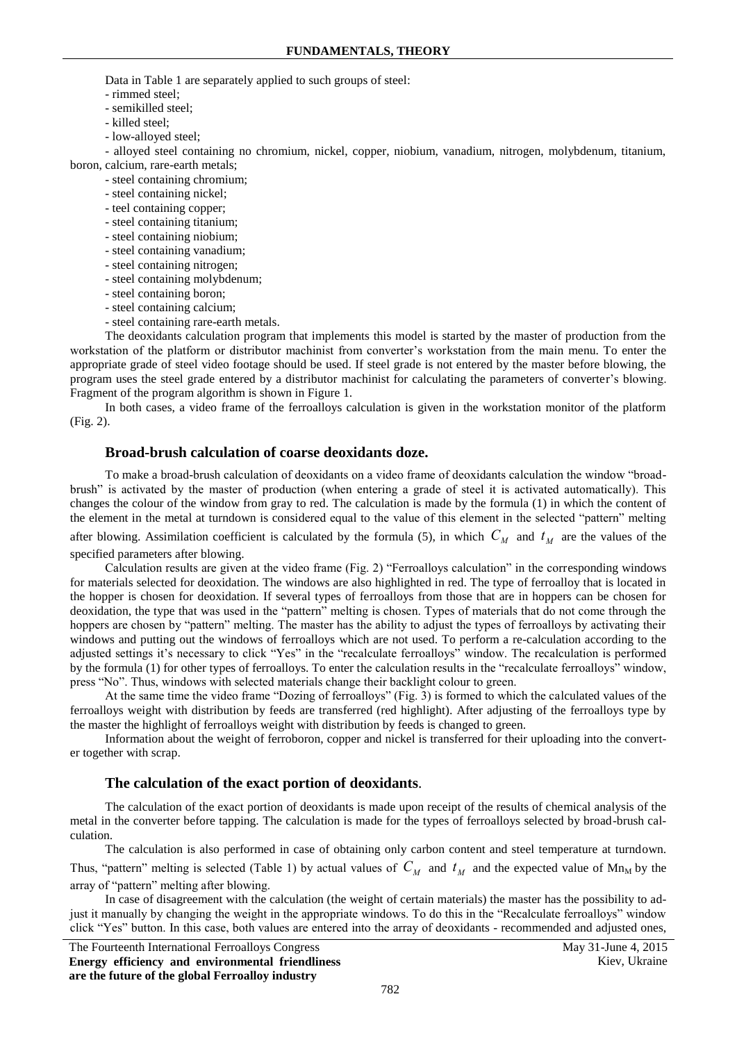Data in Table 1 are separately applied to such groups of steel:

- rimmed steel;
- semikilled steel;
- killed steel;
- low-alloyed steel;

- alloyed steel containing no chromium, nickel, copper, niobium, vanadium, nitrogen, molybdenum, titanium, boron, calcium, rare-earth metals;

- steel containing chromium;
- steel containing nickel;
- teel containing copper;
- steel containing titanium;
- steel containing niobium;
- steel containing vanadium;
- steel containing nitrogen;
- steel containing molybdenum;
- steel containing boron;
- steel containing calcium;
- steel containing rare-earth metals.

The deoxidants calculation program that implements this model is started by the master of production from the workstation of the platform or distributor machinist from converter's workstation from the main menu. To enter the appropriate grade of steel video footage should be used. If steel grade is not entered by the master before blowing, the program uses the steel grade entered by a distributor machinist for calculating the parameters of converter's blowing. Fragment of the program algorithm is shown in Figure 1.

In both cases, a video frame of the ferroalloys calculation is given in the workstation monitor of the platform (Fig. 2).

## **Broad-brush calculation of coarse deoxidants doze.**

To make a broad-brush calculation of deoxidants on a video frame of deoxidants calculation the window "broadbrush" is activated by the master of production (when entering a grade of steel it is activated automatically). This changes the colour of the window from gray to red. The calculation is made by the formula (1) in which the content of the element in the metal at turndown is considered equal to the value of this element in the selected "pattern" melting

after blowing. Assimilation coefficient is calculated by the formula (5), in which  $C_M$  and  $t_M$  are the values of the specified parameters after blowing.

Calculation results are given at the video frame (Fig. 2) "Ferroalloys calculation" in the corresponding windows for materials selected for deoxidation. The windows are also highlighted in red. The type of ferroalloy that is located in the hopper is chosen for deoxidation. If several types of ferroalloys from those that are in hoppers can be chosen for deoxidation, the type that was used in the "pattern" melting is chosen. Types of materials that do not come through the hoppers are chosen by "pattern" melting. The master has the ability to adjust the types of ferroalloys by activating their windows and putting out the windows of ferroalloys which are not used. To perform a re-calculation according to the adjusted settings it's necessary to click "Yes" in the "recalculate ferroalloys" window. The recalculation is performed by the formula (1) for other types of ferroalloys. To enter the calculation results in the "recalculate ferroalloys" window, press "No". Thus, windows with selected materials change their backlight colour to green.

At the same time the video frame "Dozing of ferroalloys" (Fig. 3) is formed to which the calculated values of the ferroalloys weight with distribution by feeds are transferred (red highlight). After adjusting of the ferroalloys type by the master the highlight of ferroalloys weight with distribution by feeds is changed to green.

Information about the weight of ferroboron, copper and nickel is transferred for their uploading into the converter together with scrap.

#### **The calculation of the exact portion of deoxidants**.

The calculation of the exact portion of deoxidants is made upon receipt of the results of chemical analysis of the metal in the converter before tapping. The calculation is made for the types of ferroalloys selected by broad-brush calculation.

The calculation is also performed in case of obtaining only carbon content and steel temperature at turndown.

Thus, "pattern" melting is selected (Table 1) by actual values of  $C_M$  and  $t_M$  and the expected value of Mn<sub>M</sub> by the array of "pattern" melting after blowing.

In case of disagreement with the calculation (the weight of certain materials) the master has the possibility to adjust it manually by changing the weight in the appropriate windows. To do this in the "Recalculate ferroalloys" window click "Yes" button. In this case, both values are entered into the array of deoxidants - recommended and adjusted ones,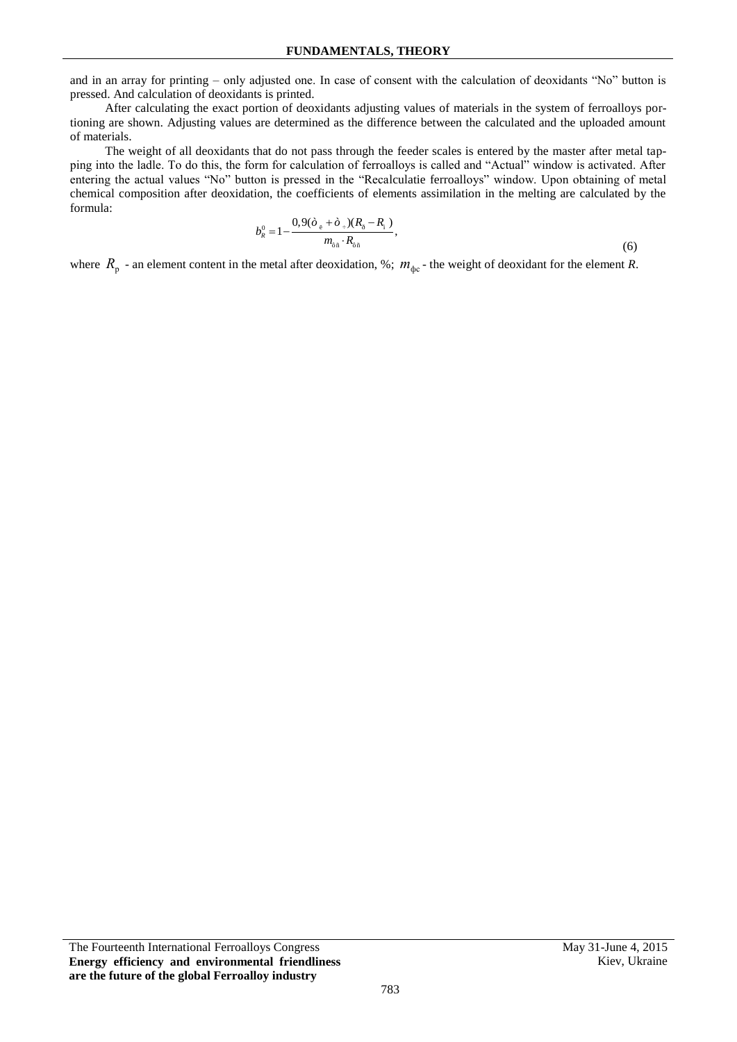and in an array for printing – only adjusted one. In case of consent with the calculation of deoxidants "No" button is pressed. And calculation of deoxidants is printed.

After calculating the exact portion of deoxidants adjusting values of materials in the system of ferroalloys portioning are shown. Adjusting values are determined as the difference between the calculated and the uploaded amount of materials.

The weight of all deoxidants that do not pass through the feeder scales is entered by the master after metal tapping into the ladle. To do this, the form for calculation of ferroalloys is called and "Actual" window is activated. After entering the actual values "No" button is pressed in the "Recalculatie ferroalloys" window. Upon obtaining of metal chemical composition after deoxidation, the coefficients of elements assimilation in the melting are calculated by the formula:

$$
b_{R}^{0}=1-\frac{0,9(\dot{\sigma}_{\breve{\sigma}}+\dot{\sigma}_{\breve{\sigma}})(R_{\breve{\sigma}}-R_{\breve{\tau}})}{m_{\breve{\sigma}\breve{\pi}}\cdot R_{\breve{\sigma}\breve{\pi}}},\qquad(6)
$$

where  $R_p$  - an element content in the metal after deoxidation, %;  $m_{\phi c}$  - the weight of deoxidant for the element *R*.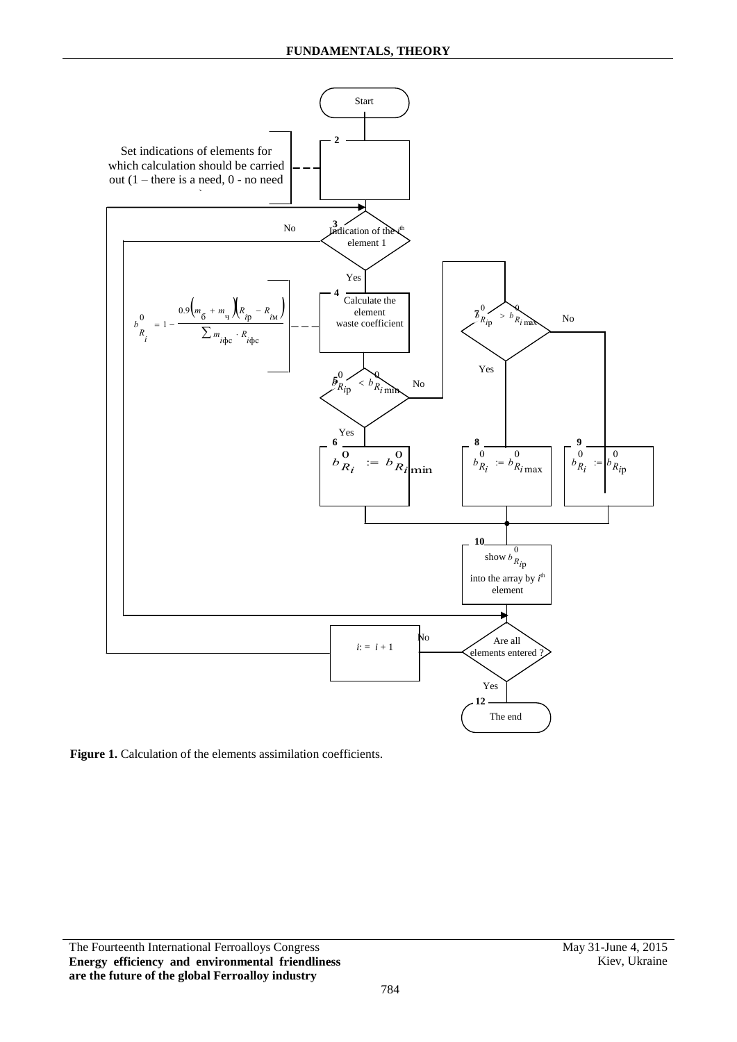

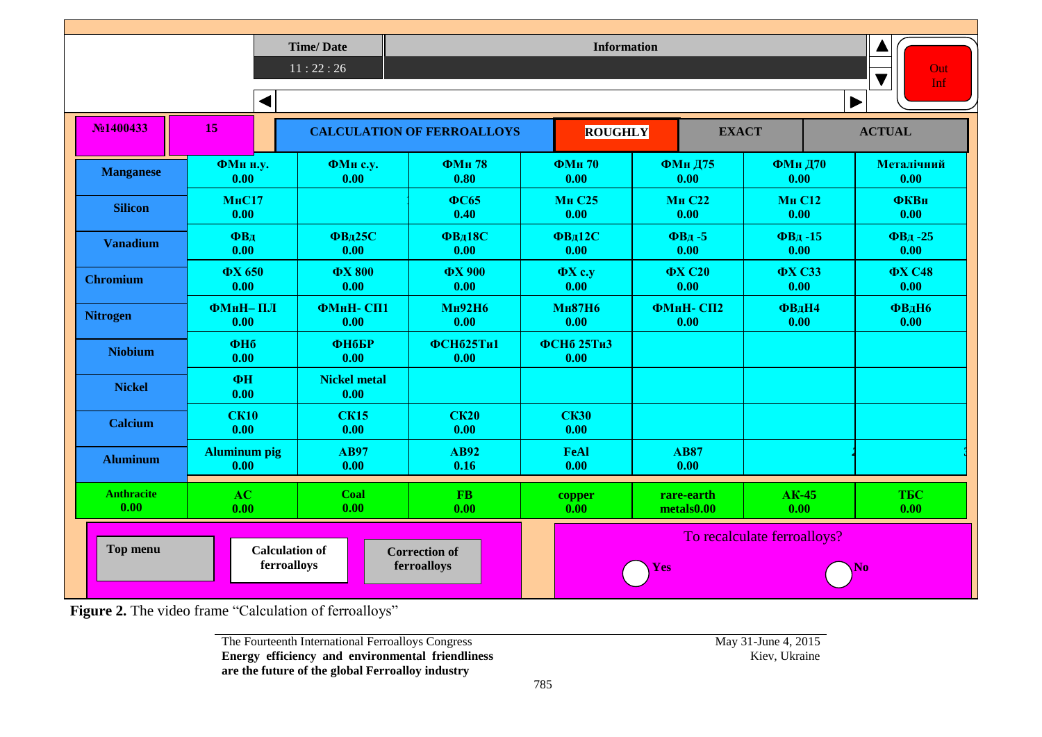|                           |                                                                                                                         | <b>Time/Date</b><br>11:22:26 |                                   | <b>Information</b>        |                          |                        | Out<br>Inf            |
|---------------------------|-------------------------------------------------------------------------------------------------------------------------|------------------------------|-----------------------------------|---------------------------|--------------------------|------------------------|-----------------------|
|                           | ◀                                                                                                                       |                              |                                   |                           |                          |                        | $\blacktriangleright$ |
| No <sub>1400433</sub>     | 15                                                                                                                      |                              | <b>CALCULATION OF FERROALLOYS</b> | <b>ROUGHLY</b>            | <b>EXACT</b>             |                        | <b>ACTUAL</b>         |
| <b>Manganese</b>          | ФМн н.у.<br>0.00                                                                                                        | ФМн с.у.<br>0.00             | <b>ФМн78</b><br>0.80              | <b>ФМн70</b><br>0.00      | <b>ФМн Д75</b><br>0.00   | <b>ФМн Д70</b><br>0.00 | Металічний<br>0.00    |
| <b>Silicon</b>            | <b>МнС17</b><br>0.00                                                                                                    |                              | $\Phi$ C65<br>0.40                | <b>Мн С25</b><br>0.00     | <b>Мн С22</b><br>0.00    | <b>Мн С12</b><br>0.00  | <b>ФКВн</b><br>0.00   |
| <b>Vanadium</b>           | ФВд<br>0.00                                                                                                             | <b>ФВд25С</b><br>0.00        | <b>ФВд18С</b><br>0.00             | <b>ФВд12С</b><br>0.00     | $\Phi$ Вл -5<br>0.00     | $\Phi$ Вл-15<br>0.00   | $\Phi$ Вд -25<br>0.00 |
| <b>Chromium</b>           | <b>ФХ 650</b><br>0.00                                                                                                   | <b>ΦΧ 800</b><br>0.00        | <b>ΦΧ 900</b><br>0.00             | $\Phi$ X c.y<br>0.00      | <b>ФХ С20</b><br>0.00    | <b>ФХ СЗЗ</b><br>0.00  | <b>ФХ С48</b><br>0.00 |
| <b>Nitrogen</b>           | ФМнН-ПЛ<br>0.00                                                                                                         | ФМнН-СП1<br>0.00             | <b>Мн92Н6</b><br>0.00             | <b>Мн87Н6</b><br>0.00     | ФМнН-СП2<br>0.00         | <b>ФВДН4</b><br>0.00   | <b>ФВДН6</b><br>0.00  |
| <b>Niobium</b>            | $\Phi$ H <sub>6</sub><br>0.00                                                                                           | <b>ФНбБР</b><br>0.00         | <b>ФСН625Ти1</b><br>0.00          | <b>ФСНб 25ТиЗ</b><br>0.00 |                          |                        |                       |
| <b>Nickel</b>             | ФH<br>0.00                                                                                                              | <b>Nickel metal</b><br>0.00  |                                   |                           |                          |                        |                       |
| <b>Calcium</b>            | <b>CK10</b><br>0.00                                                                                                     | <b>CK15</b><br>0.00          | <b>CK20</b><br>0.00               | <b>CK30</b><br>0.00       |                          |                        |                       |
| <b>Aluminum</b>           | <b>Aluminum pig</b><br>0.00                                                                                             | <b>AB97</b><br>0.00          | <b>AB92</b><br>0.16               | <b>FeAl</b><br>0.00       | <b>AB87</b><br>0.00      |                        |                       |
| <b>Anthracite</b><br>0.00 | AC<br>0.00                                                                                                              | Coal<br>0.00                 | <b>FB</b><br>0.00                 | copper<br>0.00            | rare-earth<br>metals0.00 | $AK-45$<br>0.00        | <b>ТБС</b><br>0.00    |
| Top menu                  | To recalculate ferroalloys?<br><b>Calculation of</b><br><b>Correction of</b><br>ferroalloys<br>ferroalloys<br>Yes<br>No |                              |                                   |                           |                          |                        |                       |

Figure 2. The video frame "Calculation of ferroalloys"

The Fourteenth International Ferroalloys Congress **Energy efficiency and environmental friendliness are the future of the global Ferroalloy industry**

May 31-June 4, 2015<br>Kiev, Ukraine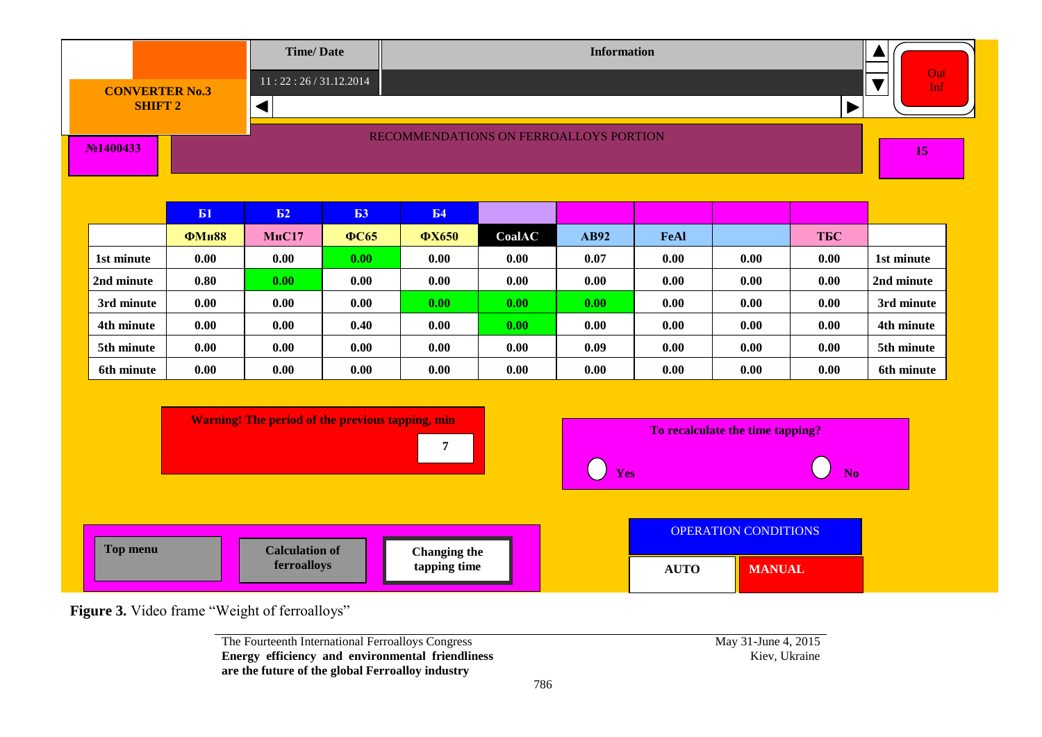|                                                                                                                                        |              | <b>Time/Date</b>      |             |                     |                                        | <b>Information</b> |      |                      |                       |            |
|----------------------------------------------------------------------------------------------------------------------------------------|--------------|-----------------------|-------------|---------------------|----------------------------------------|--------------------|------|----------------------|-----------------------|------------|
| <b>CONVERTER No.3</b>                                                                                                                  |              | 11:22:26/31.12.2014   |             |                     |                                        |                    |      |                      |                       | Out<br>Inf |
| <b>SHIFT 2</b>                                                                                                                         |              | ◀                     |             |                     |                                        |                    |      |                      | $\blacktriangleright$ |            |
| No <sub>1400433</sub>                                                                                                                  |              |                       |             |                     | RECOMMENDATIONS ON FERROALLOYS PORTION |                    |      |                      |                       | 15         |
|                                                                                                                                        | <b>E1</b>    | E <sub>2</sub>        | Б3          | <b>E4</b>           |                                        |                    |      |                      |                       |            |
|                                                                                                                                        | <b>ФМн88</b> | <b>МнС17</b>          | <b>ФС65</b> | <b>ФХ650</b>        | CoalAC                                 | AB92               | FeAl |                      | <b>ТБС</b>            |            |
| 1st minute                                                                                                                             | 0.00         | 0.00                  | 0.00        | 0.00                | 0.00                                   | 0.07               | 0.00 | 0.00                 | 0.00                  | 1st minute |
| 2nd minute                                                                                                                             | 0.80         | 0.00                  | 0.00        | 0.00                | 0.00                                   | 0.00               | 0.00 | 0.00                 | 0.00                  | 2nd minute |
| 3rd minute                                                                                                                             | 0.00         | 0.00                  | 0.00        | 0.00                | 0.00                                   | 0.00               | 0.00 | 0.00                 | 0.00                  | 3rd minute |
| 4th minute                                                                                                                             | 0.00         | 0.00                  | 0.40        | 0.00                | 0.00                                   | 0.00               | 0.00 | 0.00                 | 0.00                  | 4th minute |
| 5th minute                                                                                                                             | 0.00         | 0.00                  | 0.00        | 0.00                | 0.00                                   | 0.09               | 0.00 | 0.00                 | 0.00                  | 5th minute |
| 6th minute                                                                                                                             | 0.00         | 0.00                  | 0.00        | 0.00                | 0.00                                   | 0.00               | 0.00 | 0.00                 | 0.00                  | 6th minute |
| <b>Warning! The period of the previous tapping, min</b><br>To recalculate the time tapping?<br>$\overline{7}$<br>Yes<br>N <sub>0</sub> |              |                       |             |                     |                                        |                    |      |                      |                       |            |
| <b>Top menu</b>                                                                                                                        |              | <b>Calculation of</b> |             | <b>Changing the</b> |                                        |                    |      | OPERATION CONDITIONS |                       |            |

The Fourteenth International Ferroalloys Congress **Energy efficiency and environmental friendliness are the future of the global Ferroalloy industry**

May 31-June 4, 2015<br>Kiev, Ukraine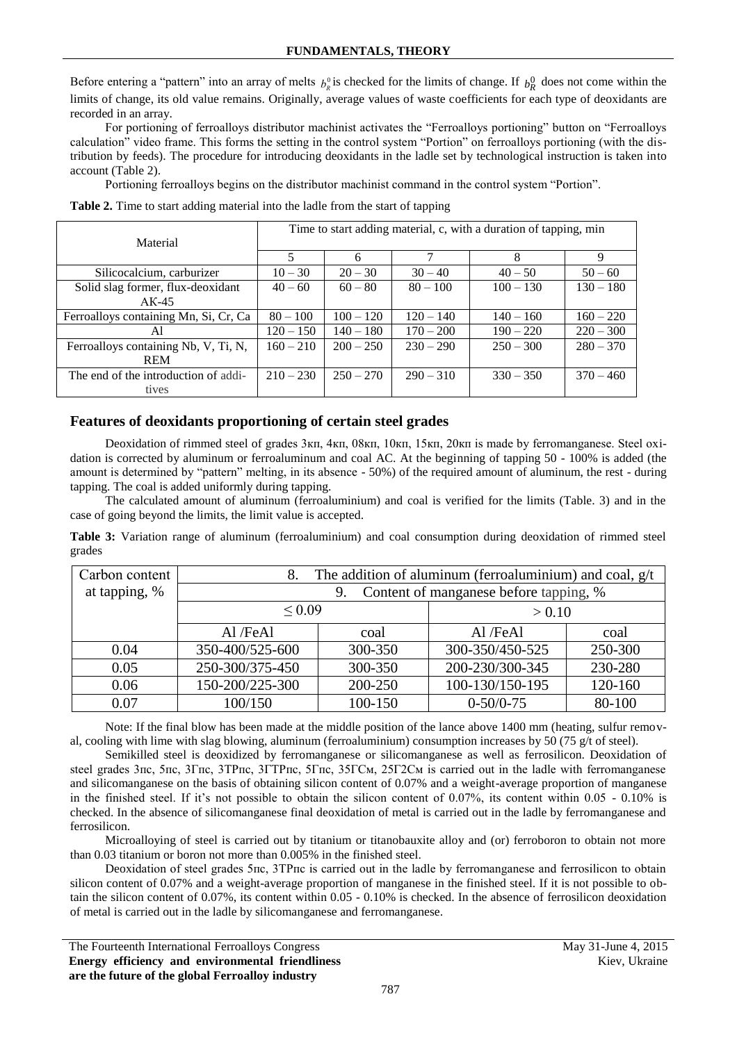Before entering a "pattern" into an array of melts  $b_R^0$  is checked for the limits of change. If  $b_R^0$  does not come within the limits of change, its old value remains. Originally, average values of waste coefficients for each type of deoxidants are recorded in an array.

For portioning of ferroalloys distributor machinist activates the "Ferroalloys portioning" button on "Ferroalloys calculation" video frame. This forms the setting in the control system "Portion" on ferroalloys portioning (with the distribution by feeds). The procedure for introducing deoxidants in the ladle set by technological instruction is taken into account (Table 2).

Portioning ferroalloys begins on the distributor machinist command in the control system "Portion".

| Material                              | Time to start adding material, c, with a duration of tapping, min |             |             |             |             |  |  |
|---------------------------------------|-------------------------------------------------------------------|-------------|-------------|-------------|-------------|--|--|
|                                       | 5                                                                 | 6           | 7           | 8           | 9           |  |  |
| Silicocalcium, carburizer             | $10 - 30$                                                         | $20 - 30$   | $30 - 40$   | $40 - 50$   | $50 - 60$   |  |  |
| Solid slag former, flux-deoxidant     | $40 - 60$                                                         | $60 - 80$   | $80 - 100$  | $100 - 130$ | $130 - 180$ |  |  |
| $AK-45$                               |                                                                   |             |             |             |             |  |  |
| Ferroalloys containing Mn, Si, Cr, Ca | $80 - 100$                                                        | $100 - 120$ | $120 - 140$ | $140 - 160$ | $160 - 220$ |  |  |
| Al                                    | $120 - 150$                                                       | $140 - 180$ | $170 - 200$ | $190 - 220$ | $220 - 300$ |  |  |
| Ferroalloys containing Nb, V, Ti, N,  | $160 - 210$                                                       | $200 - 250$ | $230 - 290$ | $250 - 300$ | $280 - 370$ |  |  |
| <b>REM</b>                            |                                                                   |             |             |             |             |  |  |
| The end of the introduction of addi-  | $210 - 230$                                                       | $250 - 270$ | $290 - 310$ | $330 - 350$ | $370 - 460$ |  |  |
| tives                                 |                                                                   |             |             |             |             |  |  |

**Table 2.** Time to start adding material into the ladle from the start of tapping

# **Features of deoxidants proportioning of certain steel grades**

Deoxidation of rimmed steel of grades 3кп, 4кп, 08кп, 10кп, 15кп, 20кп is made by ferromanganese. Steel oxidation is corrected by aluminum or ferroaluminum and coal AC. At the beginning of tapping 50 - 100% is added (the amount is determined by "pattern" melting, in its absence - 50%) of the required amount of aluminum, the rest - during tapping. The coal is added uniformly during tapping.

The calculated amount of aluminum (ferroaluminium) and coal is verified for the limits (Table. 3) and in the case of going beyond the limits, the limit value is accepted.

**Table 3:** Variation range of aluminum (ferroaluminium) and coal consumption during deoxidation of rimmed steel grades

| Carbon content | The addition of aluminum (ferroaluminium) and coal, $g/t$<br>8. |                       |                 |         |  |  |  |
|----------------|-----------------------------------------------------------------|-----------------------|-----------------|---------|--|--|--|
| at tapping, %  | Content of manganese before tapping, %<br>9.                    |                       |                 |         |  |  |  |
|                |                                                                 | ${}_{0.09}$<br>> 0.10 |                 |         |  |  |  |
|                | Al /FeAl                                                        | coal                  | Al /FeAl        | coal    |  |  |  |
| 0.04           | 350-400/525-600                                                 | 300-350               | 300-350/450-525 | 250-300 |  |  |  |
| 0.05           | 250-300/375-450                                                 | 300-350               | 200-230/300-345 | 230-280 |  |  |  |
| 0.06           | 150-200/225-300                                                 | 200-250               | 100-130/150-195 | 120-160 |  |  |  |
| 0.07           | 100/150                                                         | 100-150               | $0-50/0-75$     | 80-100  |  |  |  |

Note: If the final blow has been made at the middle position of the lance above 1400 mm (heating, sulfur removal, cooling with lime with slag blowing, aluminum (ferroaluminium) consumption increases by 50 (75 g/t of steel).

Semikilled steel is deoxidized by ferromanganese or silicomanganese as well as ferrosilicon. Deoxidation of steel grades 3пс, 5пс, 3Гпс, 3ТРпс, 3ГТРпс, 5Гпс, 35ГСм, 25Г2См is carried out in the ladle with ferromanganese and silicomanganese on the basis of obtaining silicon content of 0.07% and a weight-average proportion of manganese in the finished steel. If it's not possible to obtain the silicon content of  $0.07\%$ , its content within  $0.05 - 0.10\%$  is checked. In the absence of silicomanganese final deoxidation of metal is carried out in the ladle by ferromanganese and ferrosilicon.

Microalloying of steel is carried out by titanium or titanobauxite alloy and (or) ferroboron to obtain not more than 0.03 titanium or boron not more than 0.005% in the finished steel.

Deoxidation of steel grades 5пс, 3ТРпс is carried out in the ladle by ferromanganese and ferrosilicon to obtain silicon content of 0.07% and a weight-average proportion of manganese in the finished steel. If it is not possible to obtain the silicon content of 0.07%, its content within 0.05 - 0.10% is checked. In the absence of ferrosilicon deoxidation of metal is carried out in the ladle by silicomanganese and ferromanganese.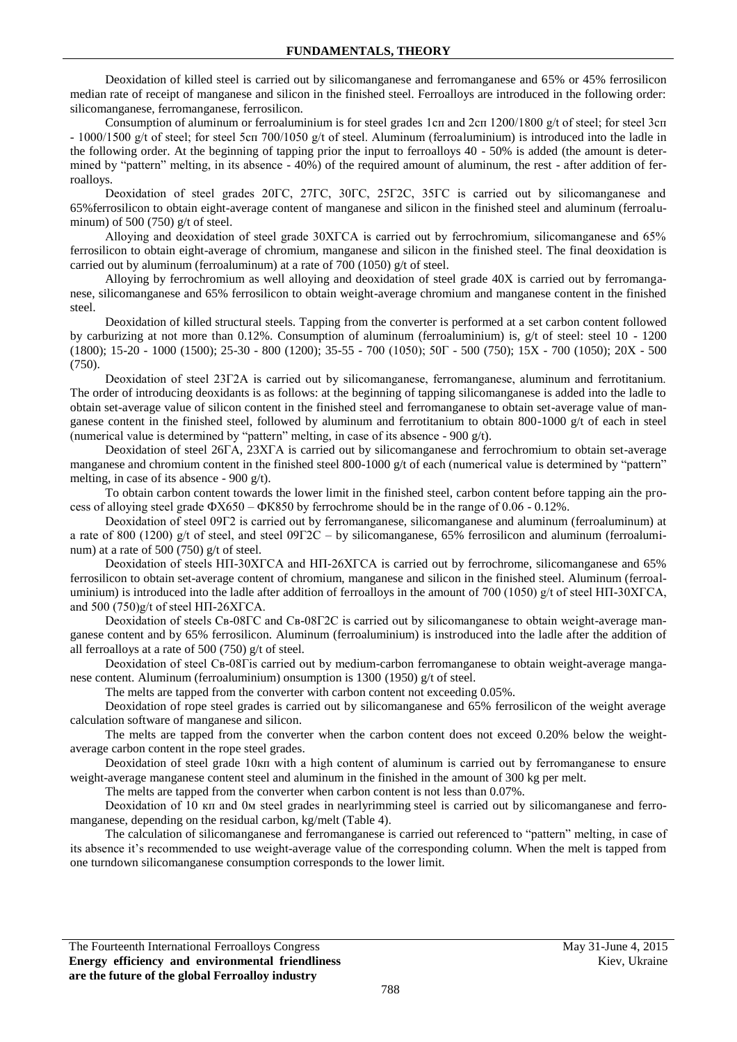Deoxidation of killed steel is carried out by silicomanganese and ferromanganese and 65% or 45% ferrosilicon median rate of receipt of manganese and silicon in the finished steel. Ferroalloys are introduced in the following order: silicomanganese, ferromanganese, ferrosilicon.

Consumption of aluminum or ferroaluminium is for steel grades 1сп and 2сп 1200/1800 g/t of steel; for steel 3сп - 1000/1500 g/t of steel; for steel 5сп 700/1050 g/t of steel. Aluminum (ferroaluminium) is introduced into the ladle in the following order. At the beginning of tapping prior the input to ferroalloys 40 - 50% is added (the amount is determined by "pattern" melting, in its absence - 40%) of the required amount of aluminum, the rest - after addition of ferroalloys.

Deoxidation of steel grades 20ГС, 27ГС, 30ГС, 25Г2С, 35ГС is carried out by silicomanganese and 65%ferrosilicon to obtain eight-average content of manganese and silicon in the finished steel and aluminum (ferroaluminum) of 500 (750) g/t of steel.

Alloying and deoxidation of steel grade 30ХГСА is carried out by ferrochromium, silicomanganese and 65% ferrosilicon to obtain eight-average of chromium, manganese and silicon in the finished steel. The final deoxidation is carried out by aluminum (ferroaluminum) at a rate of 700 (1050) g/t of steel.

Alloying by ferrochromium as well alloying and deoxidation of steel grade 40X is carried out by ferromanganese, silicomanganese and 65% ferrosilicon to obtain weight-average chromium and manganese content in the finished steel.

Deoxidation of killed structural steels. Tapping from the converter is performed at a set carbon content followed by carburizing at not more than 0.12%. Consumption of aluminum (ferroaluminium) is, g/t of steel: steel 10 - 1200 (1800); 15-20 - 1000 (1500); 25-30 - 800 (1200); 35-55 - 700 (1050); 50Г - 500 (750); 15X - 700 (1050); 20X - 500 (750).

Deoxidation of steel 23Г2А is carried out by silicomanganese, ferromanganese, aluminum and ferrotitanium. The order of introducing deoxidants is as follows: at the beginning of tapping silicomanganese is added into the ladle to obtain set-average value of silicon content in the finished steel and ferromanganese to obtain set-average value of manganese content in the finished steel, followed by aluminum and ferrotitanium to obtain 800-1000 g/t of each in steel (numerical value is determined by "pattern" melting, in case of its absence - 900 g/t).

Deoxidation of steel 26ГА, 23ХГА is carried out by silicomanganese and ferrochromium to obtain set-average manganese and chromium content in the finished steel 800-1000 g/t of each (numerical value is determined by "pattern" melting, in case of its absence - 900 g/t).

To obtain carbon content towards the lower limit in the finished steel, carbon content before tapping ain the process of alloying steel grade  $\Phi X650 - \Phi K850$  by ferrochrome should be in the range of 0.06 - 0.12%.

Deoxidation of steel 09Г2 is carried out by ferromanganese, silicomanganese and aluminum (ferroaluminum) at a rate of 800 (1200) g/t of steel, and steel  $09\Gamma$ 2C – by silicomanganese, 65% ferrosilicon and aluminum (ferroaluminum) at a rate of 500 (750) g/t of steel.

Deoxidation of steels НП-30ХГСА and НП-26ХГСА is carried out by ferrochrome, silicomanganese and 65% ferrosilicon to obtain set-average content of chromium, manganese and silicon in the finished steel. Aluminum (ferroaluminium) is introduced into the ladle after addition of ferroalloys in the amount of 700 (1050) g/t of steel HII-30XFCA, and  $500 (750)$ g/t of steel HII-26XFCA.

Deoxidation of steels CB-08FC and CB-08F2C is carried out by silicomanganese to obtain weight-average manganese content and by 65% ferrosilicon. Aluminum (ferroaluminium) is instroduced into the ladle after the addition of all ferroalloys at a rate of 500 (750) g/t of steel.

Deoxidation of steel Св-08Гis carried out by medium-carbon ferromanganese to obtain weight-average manganese content. Aluminum (ferroaluminium) onsumption is 1300 (1950) g/t of steel.

The melts are tapped from the converter with carbon content not exceeding 0.05%.

Deoxidation of rope steel grades is carried out by silicomanganese and 65% ferrosilicon of the weight average calculation software of manganese and silicon.

The melts are tapped from the converter when the carbon content does not exceed 0.20% below the weightaverage carbon content in the rope steel grades.

Deoxidation of steel grade 10кп with a high content of aluminum is carried out by ferromanganese to ensure weight-average manganese content steel and aluminum in the finished in the amount of 300 kg per melt.

The melts are tapped from the converter when carbon content is not less than 0.07%.

Deoxidation of 10 кп and 0м steel grades in nearlyrimming steel is carried out by silicomanganese and ferromanganese, depending on the residual carbon, kg/melt (Table 4).

The calculation of silicomanganese and ferromanganese is carried out referenced to "pattern" melting, in case of its absence it's recommended to use weight-average value of the corresponding column. When the melt is tapped from one turndown silicomanganese consumption corresponds to the lower limit.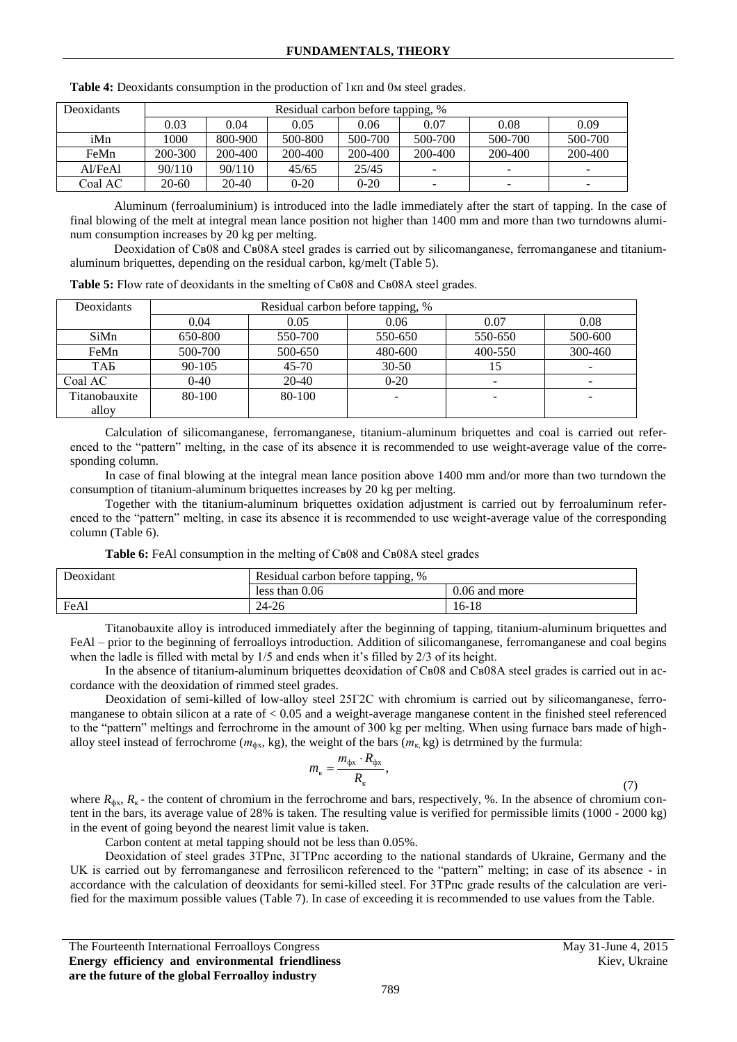| Deoxidants | Residual carbon before tapping, % |         |          |         |         |         |                          |
|------------|-----------------------------------|---------|----------|---------|---------|---------|--------------------------|
|            | 0.03                              | 0.04    | 0.05     | 0.06    | 0.07    | 0.08    | 0.09                     |
| iMn        | 1000.                             | 800-900 | 500-800  | 500-700 | 500-700 | 500-700 | 500-700                  |
| FeMn       | 200-300                           | 200-400 | 200-400  | 200-400 | 200-400 | 200-400 | 200-400                  |
| AI/FeAl    | 90/110                            | 90/110  | 45/65    | 25/45   | -       | -       | $\overline{\phantom{a}}$ |
| Coal AC    | 20-60                             | $20-40$ | $0 - 20$ | $0-20$  | -       | -       | $\overline{\phantom{a}}$ |

**Table 4:** Deoxidants consumption in the production of 1кп and 0м steel grades.

Aluminum (ferroaluminium) is introduced into the ladle immediately after the start of tapping. In the case of final blowing of the melt at integral mean lance position not higher than 1400 mm and more than two turndowns aluminum consumption increases by 20 kg per melting.

Deoxidation of Cв08 and Cв08A steel grades is carried out by silicomanganese, ferromanganese and titaniumaluminum briquettes, depending on the residual carbon, kg/melt (Table 5).

**Table 5:** Flow rate of deoxidants in the smelting of Св08 and Св08А steel grades.

| Deoxidants    | Residual carbon before tapping, % |           |           |         |             |  |
|---------------|-----------------------------------|-----------|-----------|---------|-------------|--|
|               | 0.04                              | 0.05      | 0.06      | 0.07    | 0.08        |  |
| SiMn          | 650-800                           | 550-700   | 550-650   | 550-650 | 500-600     |  |
| FeMn          | 500-700                           | 500-650   | 480-600   | 400-550 | $300 - 460$ |  |
| ТАБ           | $90 - 105$                        | $45 - 70$ | $30 - 50$ | 15      |             |  |
| Coal AC       | $0 - 40$                          | $20-40$   | $0 - 20$  |         |             |  |
| Titanobauxite | 80-100                            | 80-100    |           |         |             |  |
| alloy         |                                   |           |           |         |             |  |

Calculation of silicomanganese, ferromanganese, titanium-aluminum briquettes and coal is carried out referenced to the "pattern" melting, in the case of its absence it is recommended to use weight-average value of the corresponding column.

In case of final blowing at the integral mean lance position above 1400 mm and/or more than two turndown the consumption of titanium-aluminum briquettes increases by 20 kg per melting.

Together with the titanium-aluminum briquettes oxidation adjustment is carried out by ferroaluminum referenced to the "pattern" melting, in case its absence it is recommended to use weight-average value of the corresponding column (Table 6).

|  |  |  | Table 6: FeAl consumption in the melting of CB08 and CB08A steel grades |
|--|--|--|-------------------------------------------------------------------------|
|--|--|--|-------------------------------------------------------------------------|

| Deoxidant | Residual carbon before tapping, % |               |  |  |  |  |
|-----------|-----------------------------------|---------------|--|--|--|--|
|           | less than $0.06$                  | 0.06 and more |  |  |  |  |
| FeAl      | $24 - 26$                         | 16-18         |  |  |  |  |

Titanobauxite alloy is introduced immediately after the beginning of tapping, titanium-aluminum briquettes and FeAl – prior to the beginning of ferroalloys introduction. Addition of silicomanganese, ferromanganese and coal begins when the ladle is filled with metal by 1/5 and ends when it's filled by 2/3 of its height.

In the absence of titanium-aluminum briquettes deoxidation of Св08 and Св08А steel grades is carried out in accordance with the deoxidation of rimmed steel grades.

Deoxidation of semi-killed of low-alloy steel 25Г2С with chromium is carried out by silicomanganese, ferromanganese to obtain silicon at a rate of < 0.05 and a weight-average manganese content in the finished steel referenced to the "pattern" meltings and ferrochrome in the amount of 300 kg per melting. When using furnace bars made of highalloy steel instead of ferrochrome ( $m_{\phi x}$ , kg), the weight of the bars ( $m_{\kappa}$ , kg) is detrmined by the furmula:

$$
m_{\rm K}=\frac{m_{\rm \varphi X}\cdot R_{\rm \varphi X}}{R_{\rm K}},
$$

(7)

where  $R_{\phi x}$ ,  $R_{\kappa}$  - the content of chromium in the ferrochrome and bars, respectively, %. In the absence of chromium content in the bars, its average value of 28% is taken. The resulting value is verified for permissible limits (1000 - 2000 kg) in the event of going beyond the nearest limit value is taken.

Carbon content at metal tapping should not be less than 0.05%.

Deoxidation of steel grades 3ТРпс, 3ГТРпс according to the national standards of Ukraine, Germany and the UK is carried out by ferromanganese and ferrosilicon referenced to the "pattern" melting; in case of its absence - in accordance with the calculation of deoxidants for semi-killed steel. For 3ТРпс grade results of the calculation are verified for the maximum possible values (Table 7). In case of exceeding it is recommended to use values from the Table.

The Fourteenth International Ferroalloys Congress May 31-June 4, 2015 **Energy efficiency and environmental friendliness are the future of the global Ferroalloy industry**